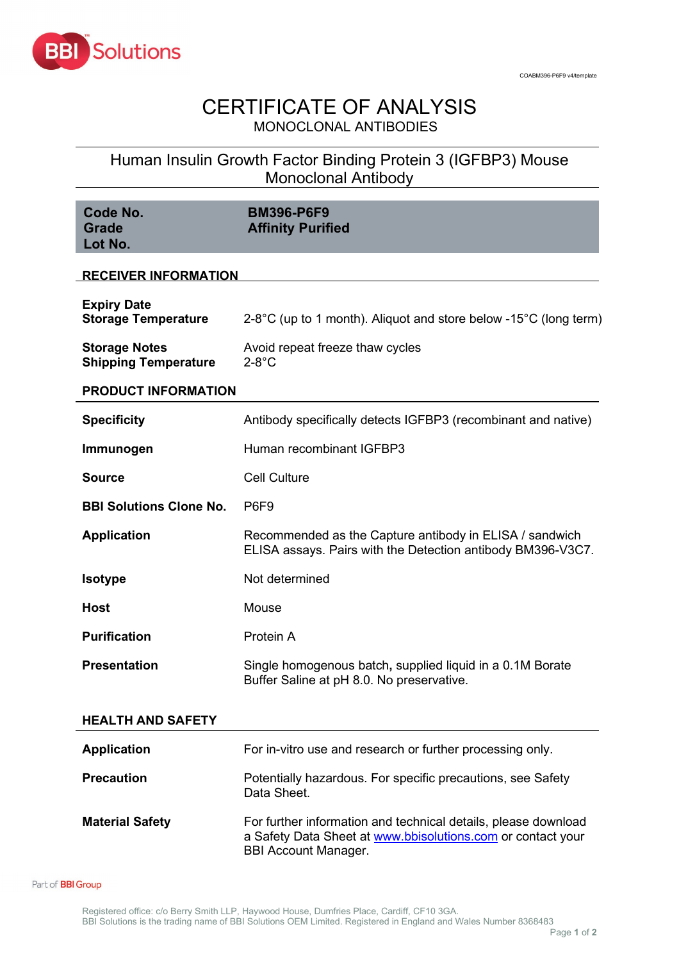

## CERTIFICATE OF ANALYSIS MONOCLONAL ANTIBODIES

Human Insulin Growth Factor Binding Protein 3 (IGFBP3) Mouse Monoclonal Antibody

| Code No.<br><b>Grade</b><br>Lot No.                 | <b>BM396-P6F9</b><br><b>Affinity Purified</b>                                                                          |  |
|-----------------------------------------------------|------------------------------------------------------------------------------------------------------------------------|--|
| <b>RECEIVER INFORMATION</b>                         |                                                                                                                        |  |
| <b>Expiry Date</b><br><b>Storage Temperature</b>    | 2-8°C (up to 1 month). Aliquot and store below -15°C (long term)                                                       |  |
| <b>Storage Notes</b><br><b>Shipping Temperature</b> | Avoid repeat freeze thaw cycles<br>$2-8$ °C                                                                            |  |
| <b>PRODUCT INFORMATION</b>                          |                                                                                                                        |  |
| <b>Specificity</b>                                  | Antibody specifically detects IGFBP3 (recombinant and native)                                                          |  |
| Immunogen                                           | Human recombinant IGFBP3                                                                                               |  |
| <b>Source</b>                                       | <b>Cell Culture</b>                                                                                                    |  |
| <b>BBI Solutions Clone No.</b>                      | P6F9                                                                                                                   |  |
| <b>Application</b>                                  | Recommended as the Capture antibody in ELISA / sandwich<br>ELISA assays. Pairs with the Detection antibody BM396-V3C7. |  |
| <b>Isotype</b>                                      | Not determined                                                                                                         |  |
| <b>Host</b>                                         | Mouse                                                                                                                  |  |
| <b>Purification</b>                                 | Protein A                                                                                                              |  |
| <b>Presentation</b>                                 | Single homogenous batch, supplied liquid in a 0.1M Borate<br>Buffer Saline at pH 8.0. No preservative.                 |  |
| <b>HEALTH AND SAFETY</b>                            |                                                                                                                        |  |
| <b>Application</b>                                  | For in-vitro use and research or further processing only.                                                              |  |

| <b>Precaution</b>      | Potentially hazardous. For specific precautions, see Safety<br>Data Sheet.                                                                                   |
|------------------------|--------------------------------------------------------------------------------------------------------------------------------------------------------------|
| <b>Material Safety</b> | For further information and technical details, please download<br>a Safety Data Sheet at www.bbisolutions.com or contact your<br><b>BBI Account Manager.</b> |

Part of **BBI Group**